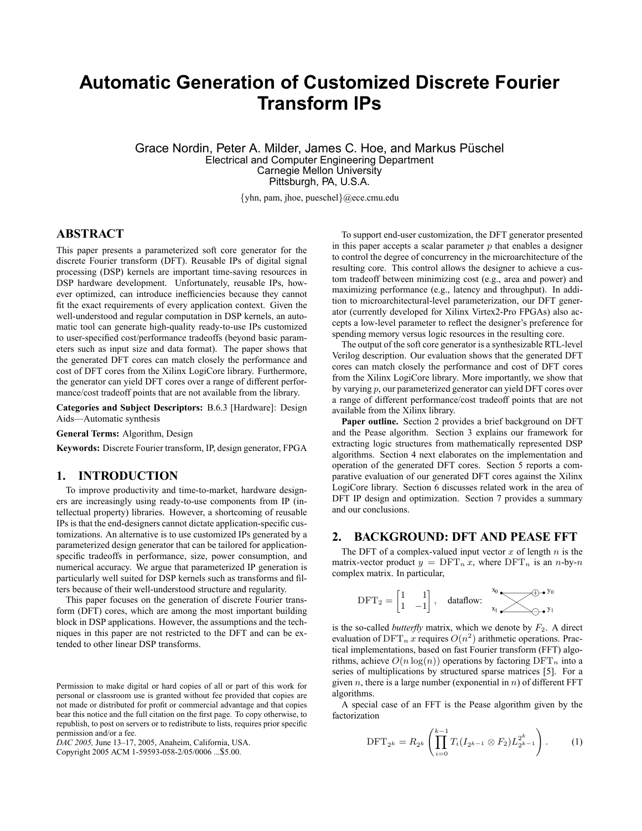# **Automatic Generation of Customized Discrete Fourier Transform IPs**

Grace Nordin, Peter A. Milder, James C. Hoe, and Markus Püschel Electrical and Computer Engineering Department Carnegie Mellon University Pittsburgh, PA, U.S.A.

{yhn, pam, jhoe, pueschel}@ece.cmu.edu

# **ABSTRACT**

This paper presents a parameterized soft core generator for the discrete Fourier transform (DFT). Reusable IPs of digital signal processing (DSP) kernels are important time-saving resources in DSP hardware development. Unfortunately, reusable IPs, however optimized, can introduce inefficiencies because they cannot fit the exact requirements of every application context. Given the well-understood and regular computation in DSP kernels, an automatic tool can generate high-quality ready-to-use IPs customized to user-specified cost/performance tradeoffs (beyond basic parameters such as input size and data format). The paper shows that the generated DFT cores can match closely the performance and cost of DFT cores from the Xilinx LogiCore library. Furthermore, the generator can yield DFT cores over a range of different performance/cost tradeoff points that are not available from the library.

**Categories and Subject Descriptors:** B.6.3 [Hardware]: Design Aids—Automatic synthesis

**General Terms:** Algorithm, Design

**Keywords:** Discrete Fourier transform, IP, design generator, FPGA

# **1. INTRODUCTION**

To improve productivity and time-to-market, hardware designers are increasingly using ready-to-use components from IP (intellectual property) libraries. However, a shortcoming of reusable IPs is that the end-designers cannot dictate application-specific customizations. An alternative is to use customized IPs generated by a parameterized design generator that can be tailored for applicationspecific tradeoffs in performance, size, power consumption, and numerical accuracy. We argue that parameterized IP generation is particularly well suited for DSP kernels such as transforms and filters because of their well-understood structure and regularity.

This paper focuses on the generation of discrete Fourier transform (DFT) cores, which are among the most important building block in DSP applications. However, the assumptions and the techniques in this paper are not restricted to the DFT and can be extended to other linear DSP transforms.

*DAC 2005,* June 13–17, 2005, Anaheim, California, USA.

Copyright 2005 ACM 1-59593-058-2/05/0006 ...\$5.00.

To support end-user customization, the DFT generator presented in this paper accepts a scalar parameter *p* that enables a designer to control the degree of concurrency in the microarchitecture of the resulting core. This control allows the designer to achieve a custom tradeoff between minimizing cost (e.g., area and power) and maximizing performance (e.g., latency and throughput). In addition to microarchitectural-level parameterization, our DFT generator (currently developed for Xilinx Virtex2-Pro FPGAs) also accepts a low-level parameter to reflect the designer's preference for spending memory versus logic resources in the resulting core.

The output of the soft core generator is a synthesizable RTL-level Verilog description. Our evaluation shows that the generated DFT cores can match closely the performance and cost of DFT cores from the Xilinx LogiCore library. More importantly, we show that by varying *p*, our parameterized generator can yield DFT cores over a range of different performance/cost tradeoff points that are not available from the Xilinx library.

Paper outline. Section 2 provides a brief background on DFT and the Pease algorithm. Section 3 explains our framework for extracting logic structures from mathematically represented DSP algorithms. Section 4 next elaborates on the implementation and operation of the generated DFT cores. Section 5 reports a comparative evaluation of our generated DFT cores against the Xilinx LogiCore library. Section 6 discusses related work in the area of DFT IP design and optimization. Section 7 provides a summary and our conclusions.

# **2. BACKGROUND: DFT AND PEASE FFT**

The DFT of a complex-valued input vector *x* of length *n* is the matrix-vector product  $y = DFT_n x$ , where  $DFT_n$  is an *n*-by-*n* complex matrix. In particular,

$$
DFT_2 = \begin{bmatrix} 1 & 1 \\ 1 & -1 \end{bmatrix}, \quad \text{dataflow:} \quad \begin{matrix} x_0 \\ x_1 \end{matrix} \begin{matrix} \bigoplus_{\bullet} y_0 \\ \bigoplus_{\bullet} y_1 \end{matrix}
$$

is the so-called *butterfly* matrix, which we denote by  $F_2$ . A direct evaluation of  $DFT_n x$  requires  $O(n^2)$  arithmetic operations. Practical implementations, based on fast Fourier transform (FFT) algorithms, achieve  $O(n \log(n))$  operations by factoring  $DFT_n$  into a series of multiplications by structured sparse matrices [5]. For a given  $n$ , there is a large number (exponential in  $n$ ) of different FFT algorithms.

A special case of an FFT is the Pease algorithm given by the factorization

$$
\text{DFT}_{2^k} = R_{2^k} \left( \prod_{i=0}^{k-1} T_i (I_{2^{k-1}} \otimes F_2) L_{2^{k-1}}^{2^k} \right). \tag{1}
$$

Permission to make digital or hard copies of all or part of this work for personal or classroom use is granted without fee provided that copies are not made or distributed for profit or commercial advantage and that copies bear this notice and the full citation on the first page. To copy otherwise, to republish, to post on servers or to redistribute to lists, requires prior specific permission and/or a fee.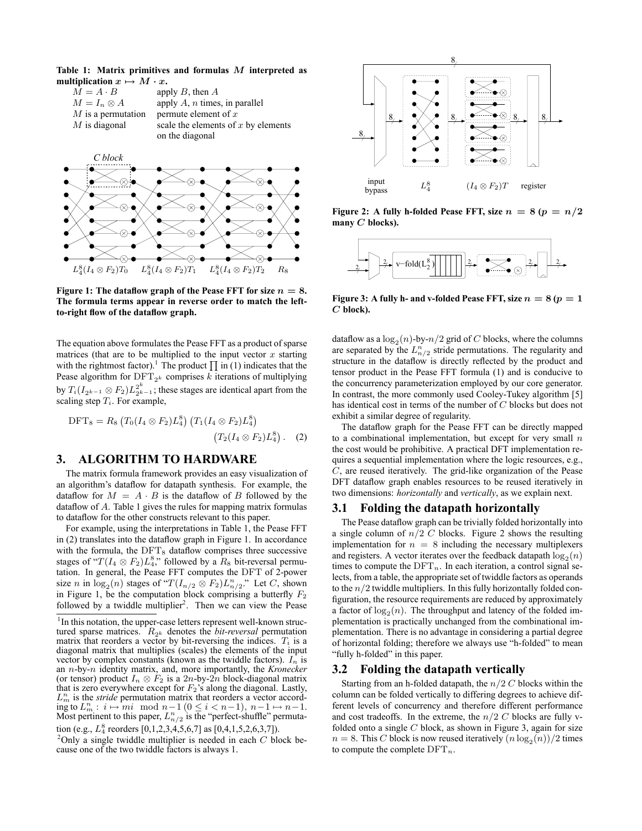**Table 1: Matrix primitives and formulas** *M* **interpreted as multiplication**  $x \mapsto M \cdot x$ .

| $M = A \cdot B$      | apply $B$ , then $A$                  |
|----------------------|---------------------------------------|
| $M = I_n \otimes A$  | apply $A$ , n times, in parallel      |
| $M$ is a permutation | permute element of $x$                |
| $M$ is diagonal      | scale the elements of $x$ by elements |
|                      | on the diagonal                       |



**Figure 1:** The dataflow graph of the Pease FFT for size  $n = 8$ . **The formula terms appear in reverse order to match the leftto-right flow of the dataflow graph.**

The equation above formulates the Pease FFT as a product of sparse matrices (that are to be multiplied to the input vector  $x$  starting with the rightmost factor).<sup>1</sup> The product  $\prod$  in (1) indicates that the Pease algorithm for  $\text{DFT}_{2^k}$  comprises  $k$  iterations of multiplying by  $T_i(I_{2^{k-1}} \otimes F_2)L_{2^{k-1}}^2$ ; these stages are identical apart from the scaling step *Ti*. For example,

$$
DFT_8 = R_8 (T_0 (I_4 \otimes F_2) L_4^8) (T_1 (I_4 \otimes F_2) L_4^8) (T_2 (I_4 \otimes F_2) L_4^8).
$$
 (2)

# **3. ALGORITHM TO HARDWARE**

The matrix formula framework provides an easy visualization of an algorithm's dataflow for datapath synthesis. For example, the dataflow for  $M = A \cdot B$  is the dataflow of *B* followed by the dataflow of *A*. Table 1 gives the rules for mapping matrix formulas to dataflow for the other constructs relevant to this paper.

For example, using the interpretations in Table 1, the Pease FFT in (2) translates into the dataflow graph in Figure 1. In accordance with the formula, the  $DFT_8$  dataflow comprises three successive stages of " $T(I_4 \otimes F_2)L_4^8$ ," followed by a  $R_8$  bit-reversal permutation. In general, the Pease FFT computes the DFT of 2-power size *n* in  $\log_2(n)$  stages of " $T(I_{n/2} \otimes F_2)L_{n/2}^n$ ." Let *C*, shown in Figure 1, be the computation block comprising a butterfly *F*<sup>2</sup> followed by a twiddle multiplier<sup>2</sup>. Then we can view the Pease

Only a single twiddle multiplier is needed in each *C* block because one of the two twiddle factors is always 1.



**Figure 2:** A fully h-folded Pease FFT, size  $n = 8$  ( $p = n/2$ **many** *C* **blocks).**



**Figure 3:** A fully h- and v-folded Pease FFT, size  $n = 8$  ( $p = 1$ *C* **block).**

dataflow as a  $\log_2(n)$ -by- $n/2$  grid of *C* blocks, where the columns are separated by the  $L_{n/2}^n$  stride permutations. The regularity and structure in the dataflow is directly reflected by the product and tensor product in the Pease FFT formula (1) and is conducive to the concurrency parameterization employed by our core generator. In contrast, the more commonly used Cooley-Tukey algorithm [5] has identical cost in terms of the number of *C* blocks but does not exhibit a similar degree of regularity.

The dataflow graph for the Pease FFT can be directly mapped to a combinational implementation, but except for very small *n* the cost would be prohibitive. A practical DFT implementation requires a sequential implementation where the logic resources, e.g., *C*, are reused iteratively. The grid-like organization of the Pease DFT dataflow graph enables resources to be reused iteratively in two dimensions: *horizontally* and *vertically*, as we explain next.

### **3.1 Folding the datapath horizontally**

The Pease dataflow graph can be trivially folded horizontally into a single column of  $n/2$  *C* blocks. Figure 2 shows the resulting implementation for  $n = 8$  including the necessary multiplexers and registers. A vector iterates over the feedback datapath  $\log_2(n)$ times to compute the  $DFT_n$ . In each iteration, a control signal selects, from a table, the appropriate set of twiddle factors as operands to the *n/*2 twiddle multipliers. In this fully horizontally folded configuration, the resource requirements are reduced by approximately a factor of  $log_2(n)$ . The throughput and latency of the folded implementation is practically unchanged from the combinational implementation. There is no advantage in considering a partial degree of horizontal folding; therefore we always use "h-folded" to mean "fully h-folded" in this paper.

#### **3.2 Folding the datapath vertically**

Starting from an h-folded datapath, the *n/*2 *C* blocks within the column can be folded vertically to differing degrees to achieve different levels of concurrency and therefore different performance and cost tradeoffs. In the extreme, the *n/*2 *C* blocks are fully vfolded onto a single *C* block, as shown in Figure 3, again for size  $n = 8$ . This *C* block is now reused iteratively  $(n \log_2(n))/2$  times to compute the complete DFT*n*.

<sup>&</sup>lt;sup>1</sup>In this notation, the upper-case letters represent well-known structured sparse matrices.  $R_{2k}$  denotes the *bit-reversal* permutation matrix that reorders a vector by bit-reversing the indices.  $T_i$  is a diagonal matrix that multiplies (scales) the elements of the input<br>vector by complex constants (known as the twiddle factors).  $I_n$  is an *n*-by-*n* identity matrix, and, more importantly, the *Kronecker* (or tensor) product  $I_n \otimes F_2$  is a 2*n*-by-2*n* block-diagonal matrix that is zero everywhere except for  $F_2$ 's along the diagonal. Lastly,  $L_m^n$  is the *stride* permutation matrix that reorders a vector accord- $\lim_{m \to \infty}$  to *L*<sub>*m*</sub> : *i* → *mi* mod *n*−1 (0 ≤ *i* < *n*−1)*, n*−1 → *n*−1.<br>Most pertinent to this paper, *L*<sub>*n*</sub>/<sub>2</sub> is the "perfect-shuffle" permutation (e.g.,  $L_4^8$  reorders  $[0,1,2,3,4,5,6,7]$  as  $[0,4,1,5,2,6,3,7]$ ).<br><sup>2</sup>Only a single twiddle multiplier is needed in each *C* ble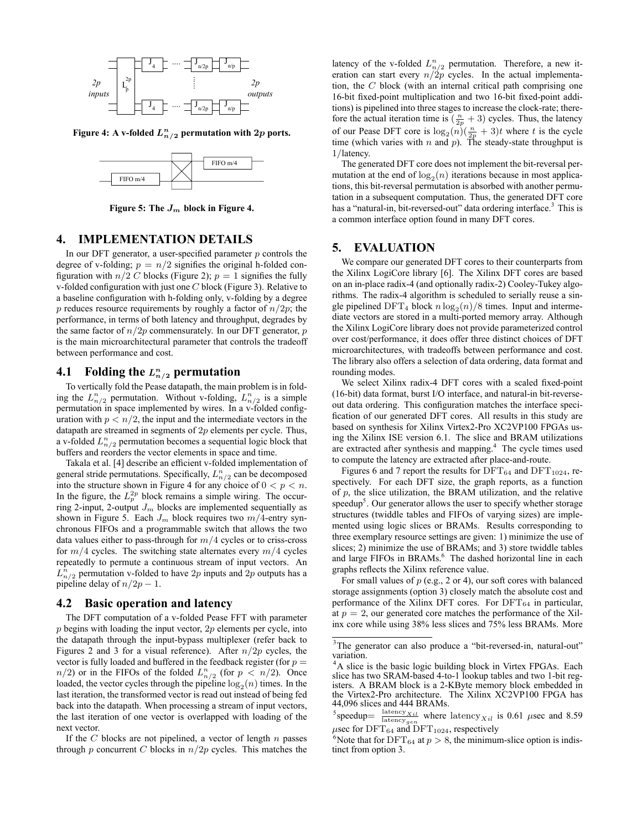

Figure 4: A v-folded  $L_{n/2}^n$  permutation with  $2p$  ports.



**Figure 5: The** *J<sup>m</sup>* **block in Figure 4.**

# **4. IMPLEMENTATION DETAILS**

In our DFT generator, a user-specified parameter *p* controls the degree of v-folding;  $p = n/2$  signifies the original h-folded configuration with  $n/2$  *C* blocks (Figure 2);  $p = 1$  signifies the fully v-folded configuration with just one *C* block (Figure 3). Relative to a baseline configuration with h-folding only, v-folding by a degree *p* reduces resource requirements by roughly a factor of  $n/2p$ ; the performance, in terms of both latency and throughput, degrades by the same factor of *n/*2*p* commensurately. In our DFT generator, *p* is the main microarchitectural parameter that controls the tradeoff between performance and cost.

# **4.1 Folding the**  $L_{n/2}^n$  permutation

To vertically fold the Pease datapath, the main problem is in folding the  $L_{n/2}^n$  permutation. Without v-folding,  $L_{n/2}^n$  is a simple permutation in space implemented by wires. In a v-folded configuration with  $p < n/2$ , the input and the intermediate vectors in the datapath are streamed in segments of 2*p* elements per cycle. Thus, a v-folded  $L_{n/2}^n$  permutation becomes a sequential logic block that buffers and reorders the vector elements in space and time.

Takala et al. [4] describe an efficient v-folded implementation of general stride permutations. Specifically,  $L_{n/2}^n$  can be decomposed into the structure shown in Figure 4 for any choice of  $0 < p < n$ . In the figure, the  $L_p^{2p}$  block remains a simple wiring. The occurring 2-input, 2-output *J<sup>m</sup>* blocks are implemented sequentially as shown in Figure 5. Each  $J_m$  block requires two  $m/4$ -entry synchronous FIFOs and a programmable switch that allows the two data values either to pass-through for *m/*4 cycles or to criss-cross for  $m/4$  cycles. The switching state alternates every  $m/4$  cycles repeatedly to permute a continuous stream of input vectors. An  $L_{n/2}^n$  permutation v-folded to have  $2p$  inputs and  $2p$  outputs has a pipeline delay of  $n/2p - 1$ .

#### **4.2 Basic operation and latency**

The DFT computation of a v-folded Pease FFT with parameter *p* begins with loading the input vector, 2*p* elements per cycle, into the datapath through the input-bypass multiplexer (refer back to Figures 2 and 3 for a visual reference). After *n/*2*p* cycles, the vector is fully loaded and buffered in the feedback register (for  $p =$  $n/2$ ) or in the FIFOs of the folded  $L_{n/2}^n$  (for  $p < n/2$ ). Once loaded, the vector cycles through the pipeline  $log_2(n)$  times. In the last iteration, the transformed vector is read out instead of being fed back into the datapath. When processing a stream of input vectors, the last iteration of one vector is overlapped with loading of the next vector.

If the *C* blocks are not pipelined, a vector of length *n* passes through *p* concurrent *C* blocks in *n/*2*p* cycles. This matches the

latency of the v-folded  $L_{n/2}^n$  permutation. Therefore, a new iteration can start every  $n/2p$  cycles. In the actual implementation, the *C* block (with an internal critical path comprising one 16-bit fixed-point multiplication and two 16-bit fixed-point additions) is pipelined into three stages to increase the clock-rate; therefore the actual iteration time is  $(\frac{n}{2p} + 3)$  cycles. Thus, the latency of our Pease DFT core is  $\log_2(n)$  $\left(\frac{n}{2p} + 3\right)t$  where *t* is the cycle time (which varies with *n* and *p*). The steady-state throughput is 1*/*latency.

The generated DFT core does not implement the bit-reversal permutation at the end of  $log_2(n)$  iterations because in most applications, this bit-reversal permutation is absorbed with another permutation in a subsequent computation. Thus, the generated DFT core has a "natural-in, bit-reversed-out" data ordering interface.<sup>3</sup> This is a common interface option found in many DFT cores.

# **5. EVALUATION**

We compare our generated DFT cores to their counterparts from the Xilinx LogiCore library [6]. The Xilinx DFT cores are based on an in-place radix-4 (and optionally radix-2) Cooley-Tukey algorithms. The radix-4 algorithm is scheduled to serially reuse a single pipelined  $DFT_4$  block  $n \log_2(n)/8$  times. Input and intermediate vectors are stored in a multi-ported memory array. Although the Xilinx LogiCore library does not provide parameterized control over cost/performance, it does offer three distinct choices of DFT microarchitectures, with tradeoffs between performance and cost. The library also offers a selection of data ordering, data format and rounding modes.

We select Xilinx radix-4 DFT cores with a scaled fixed-point (16-bit) data format, burst I/O interface, and natural-in bit-reverseout data ordering. This configuration matches the interface specification of our generated DFT cores. All results in this study are based on synthesis for Xilinx Virtex2-Pro XC2VP100 FPGAs using the Xilinx ISE version 6.1. The slice and BRAM utilizations are extracted after synthesis and mapping.4 The cycle times used to compute the latency are extracted after place-and-route.

Figures 6 and 7 report the results for  $DFT_{64}$  and  $DFT_{1024}$ , respectively. For each DFT size, the graph reports, as a function of *p*, the slice utilization, the BRAM utilization, and the relative speedup<sup>5</sup>. Our generator allows the user to specify whether storage structures (twiddle tables and FIFOs of varying sizes) are implemented using logic slices or BRAMs. Results corresponding to three exemplary resource settings are given: 1) minimize the use of slices; 2) minimize the use of BRAMs; and 3) store twiddle tables and large FIFOs in BRAMs.<sup>6</sup> The dashed horizontal line in each graphs reflects the Xilinx reference value.

For small values of *p* (e.g., 2 or 4), our soft cores with balanced storage assignments (option 3) closely match the absolute cost and performance of the Xilinx DFT cores. For  $DFT_{64}$  in particular, at  $p = 2$ , our generated core matches the performance of the Xilinx core while using 38% less slices and 75% less BRAMs. More

<sup>&</sup>lt;sup>3</sup>The generator can also produce a "bit-reversed-in, natural-out" variation.

<sup>&</sup>lt;sup>4</sup>A slice is the basic logic building block in Virtex FPGAs. Each slice has two SRAM-based 4-to-1 lookup tables and two 1-bit registers. A BRAM block is a 2-KByte memory block embedded in the Virtex2-Pro architecture. The Xilinx XC2VP100 FPGA has 44,096 slices and 444 BRAMs.

 $^5$ speedup=  $\frac{\text{latercy}_{Xil}}{\text{latercy}_{Xil}}$  where latency<sub>*Xil*</sub> is 0.61 *µsec* and 8.59  $\mu$ sec for DFT<sub>64</sub> and DFT<sub>1024</sub>, respectively

<sup>&</sup>lt;sup>6</sup>Note that for DFT<sub>64</sub> at  $p > 8$ , the minimum-slice option is indistinct from option 3.